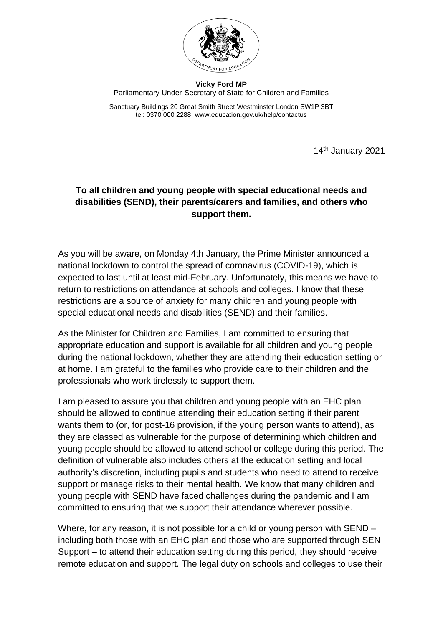

**Vicky Ford MP** Parliamentary Under-Secretary of State for Children and Families

Sanctuary Buildings 20 Great Smith Street Westminster London SW1P 3BT tel: 0370 000 2288 www.education.gov.uk/help/contactus

14 th January 2021

# **To all children and young people with special educational needs and disabilities (SEND), their parents/carers and families, and others who support them.**

As you will be aware, on Monday 4th January, the Prime Minister announced a national lockdown to control the spread of coronavirus (COVID-19), which is expected to last until at least mid-February. Unfortunately, this means we have to return to restrictions on attendance at schools and colleges. I know that these restrictions are a source of anxiety for many children and young people with special educational needs and disabilities (SEND) and their families.

As the Minister for Children and Families, I am committed to ensuring that appropriate education and support is available for all children and young people during the national lockdown, whether they are attending their education setting or at home. I am grateful to the families who provide care to their children and the professionals who work tirelessly to support them.

I am pleased to assure you that children and young people with an EHC plan should be allowed to continue attending their education setting if their parent wants them to (or, for post-16 provision, if the young person wants to attend), as they are classed as vulnerable for the purpose of determining which children and young people should be allowed to attend school or college during this period. The definition of vulnerable also includes others at the education setting and local authority's discretion, including pupils and students who need to attend to receive support or manage risks to their mental health. We know that many children and young people with SEND have faced challenges during the pandemic and I am committed to ensuring that we support their attendance wherever possible.

Where, for any reason, it is not possible for a child or young person with SEND – including both those with an EHC plan and those who are supported through SEN Support – to attend their education setting during this period, they should receive remote education and support. The legal duty on schools and colleges to use their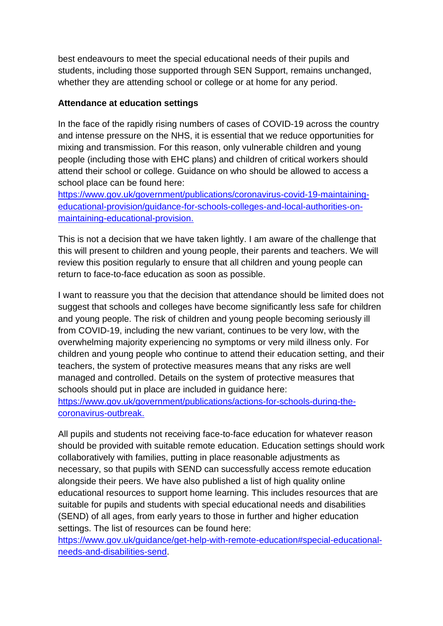best endeavours to meet the special educational needs of their pupils and students, including those supported through SEN Support, remains unchanged, whether they are attending school or college or at home for any period.

## **Attendance at education settings**

In the face of the rapidly rising numbers of cases of COVID-19 across the country and intense pressure on the NHS, it is essential that we reduce opportunities for mixing and transmission. For this reason, only vulnerable children and young people (including those with EHC plans) and children of critical workers should attend their school or college. Guidance on who should be allowed to access a school place can be found here:

[https://www.gov.uk/government/publications/coronavirus-covid-19-maintaining](https://www.gov.uk/government/publications/coronavirus-covid-19-maintaining-educational-provision/guidance-for-schools-colleges-and-local-authorities-on-maintaining-educational-provision)[educational-provision/guidance-for-schools-colleges-and-local-authorities-on](https://www.gov.uk/government/publications/coronavirus-covid-19-maintaining-educational-provision/guidance-for-schools-colleges-and-local-authorities-on-maintaining-educational-provision)[maintaining-educational-provision.](https://www.gov.uk/government/publications/coronavirus-covid-19-maintaining-educational-provision/guidance-for-schools-colleges-and-local-authorities-on-maintaining-educational-provision)

This is not a decision that we have taken lightly. I am aware of the challenge that this will present to children and young people, their parents and teachers. We will review this position regularly to ensure that all children and young people can return to face-to-face education as soon as possible.

I want to reassure you that the decision that attendance should be limited does not suggest that schools and colleges have become significantly less safe for children and young people. The risk of children and young people becoming seriously ill from COVID-19, including the new variant, continues to be very low, with the overwhelming majority experiencing no symptoms or very mild illness only. For children and young people who continue to attend their education setting, and their teachers, the system of protective measures means that any risks are well managed and controlled. Details on the system of protective measures that schools should put in place are included in guidance here: [https://www.gov.uk/government/publications/actions-for-schools-during-the](https://www.gov.uk/government/publications/actions-for-schools-during-the-coronavirus-outbreak)[coronavirus-outbreak.](https://www.gov.uk/government/publications/actions-for-schools-during-the-coronavirus-outbreak)

All pupils and students not receiving face-to-face education for whatever reason should be provided with suitable remote education. Education settings should work collaboratively with families, putting in place reasonable adjustments as necessary, so that pupils with SEND can successfully access remote education alongside their peers. We have also published a list of high quality online educational resources to support home learning. This includes resources that are suitable for pupils and students with special educational needs and disabilities (SEND) of all ages, from early years to those in further and higher education settings. The list of resources can be found here:

[https://www.gov.uk/guidance/get-help-with-remote-education#special-educational](https://www.gov.uk/guidance/get-help-with-remote-education#special-educational-needs-and-disabilities-send)[needs-and-disabilities-send.](https://www.gov.uk/guidance/get-help-with-remote-education#special-educational-needs-and-disabilities-send)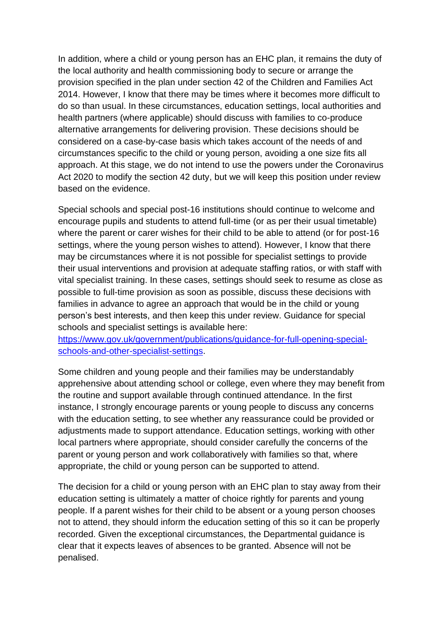In addition, where a child or young person has an EHC plan, it remains the duty of the local authority and health commissioning body to secure or arrange the provision specified in the plan under section 42 of the Children and Families Act 2014. However, I know that there may be times where it becomes more difficult to do so than usual. In these circumstances, education settings, local authorities and health partners (where applicable) should discuss with families to co-produce alternative arrangements for delivering provision. These decisions should be considered on a case-by-case basis which takes account of the needs of and circumstances specific to the child or young person, avoiding a one size fits all approach. At this stage, we do not intend to use the powers under the Coronavirus Act 2020 to modify the section 42 duty, but we will keep this position under review based on the evidence.

Special schools and special post-16 institutions should continue to welcome and encourage pupils and students to attend full-time (or as per their usual timetable) where the parent or carer wishes for their child to be able to attend (or for post-16 settings, where the young person wishes to attend). However, I know that there may be circumstances where it is not possible for specialist settings to provide their usual interventions and provision at adequate staffing ratios, or with staff with vital specialist training. In these cases, settings should seek to resume as close as possible to full-time provision as soon as possible, discuss these decisions with families in advance to agree an approach that would be in the child or young person's best interests, and then keep this under review. Guidance for special schools and specialist settings is available here:

[https://www.gov.uk/government/publications/guidance-for-full-opening-special](https://www.gov.uk/government/publications/guidance-for-full-opening-special-schools-and-other-specialist-settings)[schools-and-other-specialist-settings.](https://www.gov.uk/government/publications/guidance-for-full-opening-special-schools-and-other-specialist-settings)

Some children and young people and their families may be understandably apprehensive about attending school or college, even where they may benefit from the routine and support available through continued attendance. In the first instance, I strongly encourage parents or young people to discuss any concerns with the education setting, to see whether any reassurance could be provided or adjustments made to support attendance. Education settings, working with other local partners where appropriate, should consider carefully the concerns of the parent or young person and work collaboratively with families so that, where appropriate, the child or young person can be supported to attend.

The decision for a child or young person with an EHC plan to stay away from their education setting is ultimately a matter of choice rightly for parents and young people. If a parent wishes for their child to be absent or a young person chooses not to attend, they should inform the education setting of this so it can be properly recorded. Given the exceptional circumstances, the Departmental guidance is clear that it expects leaves of absences to be granted. Absence will not be penalised.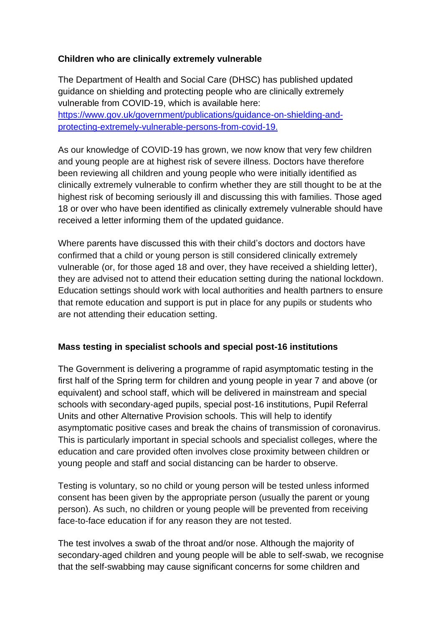### **Children who are clinically extremely vulnerable**

The Department of Health and Social Care (DHSC) has published updated guidance on shielding and protecting people who are clinically extremely vulnerable from COVID-19, which is available here: [https://www.gov.uk/government/publications/guidance-on-shielding-and](https://www.gov.uk/government/publications/guidance-on-shielding-and-protecting-extremely-vulnerable-persons-from-covid-19)[protecting-extremely-vulnerable-persons-from-covid-19.](https://www.gov.uk/government/publications/guidance-on-shielding-and-protecting-extremely-vulnerable-persons-from-covid-19)

As our knowledge of COVID-19 has grown, we now know that very few children and young people are at highest risk of severe illness. Doctors have therefore been reviewing all children and young people who were initially identified as clinically extremely vulnerable to confirm whether they are still thought to be at the highest risk of becoming seriously ill and discussing this with families. Those aged 18 or over who have been identified as clinically extremely vulnerable should have received a letter informing them of the updated guidance.

Where parents have discussed this with their child's doctors and doctors have confirmed that a child or young person is still considered clinically extremely vulnerable (or, for those aged 18 and over, they have received a shielding letter), they are advised not to attend their education setting during the national lockdown. Education settings should work with local authorities and health partners to ensure that remote education and support is put in place for any pupils or students who are not attending their education setting.

### **Mass testing in specialist schools and special post-16 institutions**

The Government is delivering a programme of rapid asymptomatic testing in the first half of the Spring term for children and young people in year 7 and above (or equivalent) and school staff, which will be delivered in mainstream and special schools with secondary-aged pupils, special post-16 institutions, Pupil Referral Units and other Alternative Provision schools. This will help to identify asymptomatic positive cases and break the chains of transmission of coronavirus. This is particularly important in special schools and specialist colleges, where the education and care provided often involves close proximity between children or young people and staff and social distancing can be harder to observe.

Testing is voluntary, so no child or young person will be tested unless informed consent has been given by the appropriate person (usually the parent or young person). As such, no children or young people will be prevented from receiving face-to-face education if for any reason they are not tested.

The test involves a swab of the throat and/or nose. Although the majority of secondary-aged children and young people will be able to self-swab, we recognise that the self-swabbing may cause significant concerns for some children and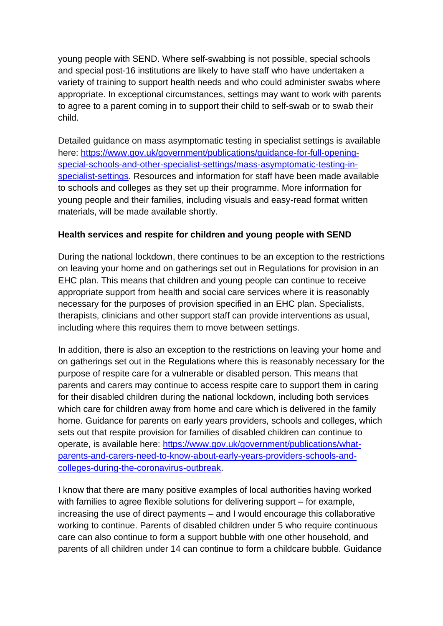young people with SEND. Where self-swabbing is not possible, special schools and special post-16 institutions are likely to have staff who have undertaken a variety of training to support health needs and who could administer swabs where appropriate. In exceptional circumstances, settings may want to work with parents to agree to a parent coming in to support their child to self-swab or to swab their child.

Detailed guidance on mass asymptomatic testing in specialist settings is available here: [https://www.gov.uk/government/publications/guidance-for-full-opening](https://www.gov.uk/government/publications/guidance-for-full-opening-special-schools-and-other-specialist-settings/mass-asymptomatic-testing-in-specialist-settings)[special-schools-and-other-specialist-settings/mass-asymptomatic-testing-in](https://www.gov.uk/government/publications/guidance-for-full-opening-special-schools-and-other-specialist-settings/mass-asymptomatic-testing-in-specialist-settings)[specialist-settings.](https://www.gov.uk/government/publications/guidance-for-full-opening-special-schools-and-other-specialist-settings/mass-asymptomatic-testing-in-specialist-settings) Resources and information for staff have been made available to schools and colleges as they set up their programme. More information for young people and their families, including visuals and easy-read format written materials, will be made available shortly.

### **Health services and respite for children and young people with SEND**

During the national lockdown, there continues to be an exception to the restrictions on leaving your home and on gatherings set out in Regulations for provision in an EHC plan. This means that children and young people can continue to receive appropriate support from health and social care services where it is reasonably necessary for the purposes of provision specified in an EHC plan. Specialists, therapists, clinicians and other support staff can provide interventions as usual, including where this requires them to move between settings.

In addition, there is also an exception to the restrictions on leaving your home and on gatherings set out in the Regulations where this is reasonably necessary for the purpose of respite care for a vulnerable or disabled person. This means that parents and carers may continue to access respite care to support them in caring for their disabled children during the national lockdown, including both services which care for children away from home and care which is delivered in the family home. Guidance for parents on early years providers, schools and colleges, which sets out that respite provision for families of disabled children can continue to operate, is available here: [https://www.gov.uk/government/publications/what](https://www.gov.uk/government/publications/what-parents-and-carers-need-to-know-about-early-years-providers-schools-and-colleges-during-the-coronavirus-outbreak)[parents-and-carers-need-to-know-about-early-years-providers-schools-and](https://www.gov.uk/government/publications/what-parents-and-carers-need-to-know-about-early-years-providers-schools-and-colleges-during-the-coronavirus-outbreak)[colleges-during-the-coronavirus-outbreak.](https://www.gov.uk/government/publications/what-parents-and-carers-need-to-know-about-early-years-providers-schools-and-colleges-during-the-coronavirus-outbreak)

I know that there are many positive examples of local authorities having worked with families to agree flexible solutions for delivering support – for example, increasing the use of direct payments – and I would encourage this collaborative working to continue. Parents of disabled children under 5 who require continuous care can also continue to form a support bubble with one other household, and parents of all children under 14 can continue to form a childcare bubble. Guidance